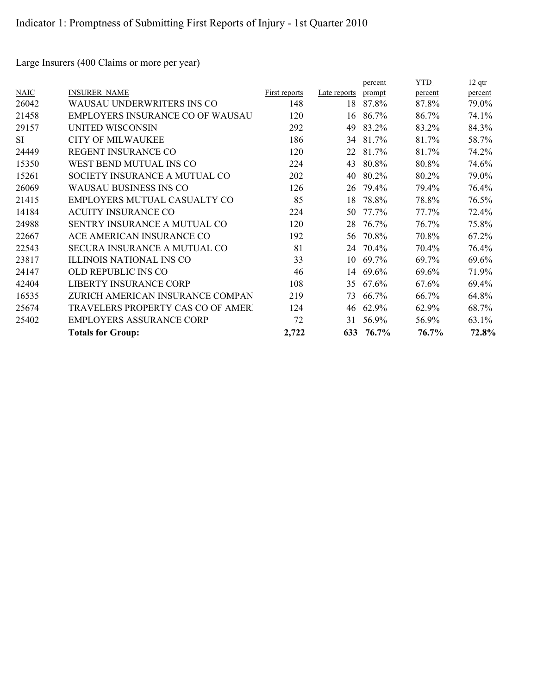Large Insurers (400 Claims or more per year)

|           |                                    |               |              | percent | <b>YTD</b> | $12$ qtr |
|-----------|------------------------------------|---------------|--------------|---------|------------|----------|
| NAIC      | <b>INSURER NAME</b>                | First reports | Late reports | prompt  | percent    | percent  |
| 26042     | WAUSAU UNDERWRITERS INS CO         | 148           | 18           | 87.8%   | 87.8%      | 79.0%    |
| 21458     | EMPLOYERS INSURANCE CO OF WAUSAU   | 120           | 16           | 86.7%   | 86.7%      | 74.1%    |
| 29157     | UNITED WISCONSIN                   | 292           | 49           | 83.2%   | 83.2%      | 84.3%    |
| <b>SI</b> | <b>CITY OF MILWAUKEE</b>           | 186           | 34           | 81.7%   | 81.7%      | 58.7%    |
| 24449     | REGENT INSURANCE CO                | 120           | 22           | 81.7%   | 81.7%      | 74.2%    |
| 15350     | WEST BEND MUTUAL INS CO            | 224           | 43           | 80.8%   | 80.8%      | 74.6%    |
| 15261     | SOCIETY INSURANCE A MUTUAL CO      | 202           | 40           | 80.2%   | 80.2%      | 79.0%    |
| 26069     | <b>WAUSAU BUSINESS INS CO</b>      | 126           | 26           | 79.4%   | 79.4%      | 76.4%    |
| 21415     | EMPLOYERS MUTUAL CASUALTY CO       | 85            | 18           | 78.8%   | 78.8%      | 76.5%    |
| 14184     | <b>ACUITY INSURANCE CO</b>         | 224           | 50           | 77.7%   | 77.7%      | 72.4%    |
| 24988     | SENTRY INSURANCE A MUTUAL CO       | 120           | 28           | 76.7%   | 76.7%      | 75.8%    |
| 22667     | ACE AMERICAN INSURANCE CO          | 192           | 56           | 70.8%   | 70.8%      | 67.2%    |
| 22543     | SECURA INSURANCE A MUTUAL CO       | 81            | 24           | 70.4%   | 70.4%      | 76.4%    |
| 23817     | <b>ILLINOIS NATIONAL INS CO</b>    | 33            | 10           | 69.7%   | 69.7%      | 69.6%    |
| 24147     | OLD REPUBLIC INS CO                | 46            | 14           | 69.6%   | 69.6%      | 71.9%    |
| 42404     | <b>LIBERTY INSURANCE CORP</b>      | 108           | 35           | 67.6%   | 67.6%      | 69.4%    |
| 16535     | ZURICH AMERICAN INSURANCE COMPAN   | 219           | 73           | 66.7%   | 66.7%      | 64.8%    |
| 25674     | TRAVELERS PROPERTY CAS CO OF AMERT | 124           | 46           | 62.9%   | 62.9%      | 68.7%    |
| 25402     | <b>EMPLOYERS ASSURANCE CORP</b>    | 72            | 31           | 56.9%   | 56.9%      | 63.1%    |
|           | <b>Totals for Group:</b>           | 2,722         | 633          | 76.7%   | 76.7%      | 72.8%    |
|           |                                    |               |              |         |            |          |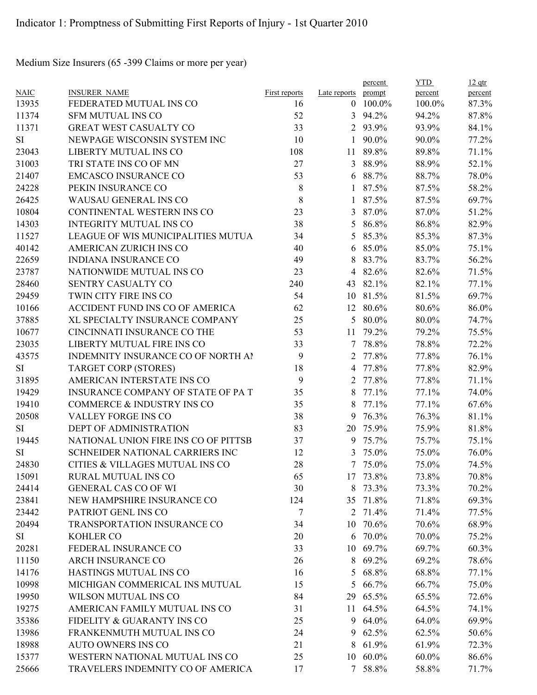Medium Size Insurers (65 -399 Claims or more per year)

|                |                                        |                      |                | percent  | <b>YTD</b> | $12$ qtr       |
|----------------|----------------------------------------|----------------------|----------------|----------|------------|----------------|
| <b>NAIC</b>    | <b>INSURER NAME</b>                    | <b>First reports</b> | Late reports   | prompt   | percent    | percent        |
| 13935          | FEDERATED MUTUAL INS CO                | 16                   | $\theta$       | 100.0%   | 100.0%     | 87.3%          |
| 11374          | <b>SFM MUTUAL INS CO</b>               | 52                   | 3              | 94.2%    | 94.2%      | 87.8%          |
| 11371          | <b>GREAT WEST CASUALTY CO</b>          | 33                   | 2              | 93.9%    | 93.9%      | 84.1%          |
| SI             | NEWPAGE WISCONSIN SYSTEM INC           | 10                   | $\mathbf{1}$   | 90.0%    | 90.0%      | 77.2%          |
| 23043          | LIBERTY MUTUAL INS CO                  | 108                  | 11             | 89.8%    | 89.8%      | 71.1%          |
| 31003          | TRI STATE INS CO OF MN                 | 27                   | 3              | 88.9%    | 88.9%      | 52.1%          |
| 21407          | <b>EMCASCO INSURANCE CO</b>            | 53                   | 6              | 88.7%    | 88.7%      | 78.0%          |
| 24228          | PEKIN INSURANCE CO                     | 8                    | 1              | 87.5%    | 87.5%      | 58.2%          |
| 26425          | <b>WAUSAU GENERAL INS CO</b>           | 8                    | 1              | 87.5%    | 87.5%      | 69.7%          |
| 10804          | CONTINENTAL WESTERN INS CO             | 23                   | 3              | 87.0%    | 87.0%      | 51.2%          |
| 14303          | <b>INTEGRITY MUTUAL INS CO</b>         | 38                   | 5              | 86.8%    | 86.8%      | 82.9%          |
| 11527          | LEAGUE OF WIS MUNICIPALITIES MUTUA     | 34                   | 5              | 85.3%    | 85.3%      | 87.3%          |
| 40142          | AMERICAN ZURICH INS CO                 | 40                   | 6              | 85.0%    | 85.0%      | 75.1%          |
| 22659          | <b>INDIANA INSURANCE CO</b>            | 49                   | 8              | 83.7%    | 83.7%      | 56.2%          |
| 23787          | NATIONWIDE MUTUAL INS CO               | 23                   | 4              | 82.6%    | 82.6%      | 71.5%          |
| 28460          | SENTRY CASUALTY CO                     | 240                  | 43             | 82.1%    | 82.1%      | 77.1%          |
| 29459          | TWIN CITY FIRE INS CO                  | 54                   | 10             | 81.5%    | 81.5%      | 69.7%          |
| 10166          | ACCIDENT FUND INS CO OF AMERICA        | 62                   | 12             | 80.6%    | 80.6%      | 86.0%          |
| 37885          | XL SPECIALTY INSURANCE COMPANY         | 25                   | 5              | 80.0%    | 80.0%      | 74.7%          |
| 10677          | CINCINNATI INSURANCE CO THE            | 53                   | 11             | 79.2%    | 79.2%      | 75.5%          |
| 23035          | LIBERTY MUTUAL FIRE INS CO             | 33                   | 7              | 78.8%    | 78.8%      | 72.2%          |
| 43575          | INDEMNITY INSURANCE CO OF NORTH AI     | 9                    | 2              | 77.8%    | 77.8%      | 76.1%          |
| SI             | <b>TARGET CORP (STORES)</b>            | 18                   | $\overline{4}$ | 77.8%    | 77.8%      | 82.9%          |
| 31895          | AMERICAN INTERSTATE INS CO             | 9                    | 2              | 77.8%    | 77.8%      | 71.1%          |
| 19429          | INSURANCE COMPANY OF STATE OF PAT      | 35                   | 8              | 77.1%    | 77.1%      | 74.0%          |
| 19410          | COMMERCE & INDUSTRY INS CO             | 35                   | 8              | 77.1%    | 77.1%      | 67.6%          |
| 20508          | VALLEY FORGE INS CO                    | 38                   | 9              | 76.3%    | 76.3%      | 81.1%          |
| SI             | DEPT OF ADMINISTRATION                 | 83                   | 20             | 75.9%    | 75.9%      | 81.8%          |
| 19445          | NATIONAL UNION FIRE INS CO OF PITTSB   | 37                   | 9              | 75.7%    | 75.7%      | 75.1%          |
| <b>SI</b>      | <b>SCHNEIDER NATIONAL CARRIERS INC</b> | 12                   | 3              | 75.0%    | 75.0%      | 76.0%          |
| 24830          | CITIES & VILLAGES MUTUAL INS CO        | 28                   | $\tau$         | 75.0%    | 75.0%      | 74.5%          |
| 15091          | RURAL MUTUAL INS CO                    | 65                   |                | 17 73.8% | 73.8%      | 70.8%          |
| 24414          | <b>GENERAL CAS CO OF WI</b>            | 30                   | 8              | 73.3%    | 73.3%      | 70.2%          |
| 23841          | NEW HAMPSHIRE INSURANCE CO             | 124                  | 35             | 71.8%    | 71.8%      | 69.3%          |
| 23442          | PATRIOT GENL INS CO                    | 7                    |                | 2 71.4%  | 71.4%      | 77.5%          |
| 20494          | TRANSPORTATION INSURANCE CO            | 34                   |                | 10 70.6% | 70.6%      | 68.9%          |
| SI             | KOHLER CO                              | 20                   |                | 6 70.0%  | 70.0%      | 75.2%          |
|                | FEDERAL INSURANCE CO                   |                      |                | 10 69.7% | 69.7%      |                |
| 20281<br>11150 | <b>ARCH INSURANCE CO</b>               | 33                   | 8              |          | 69.2%      | 60.3%<br>78.6% |
|                | HASTINGS MUTUAL INS CO                 | 26                   |                | 69.2%    |            |                |
| 14176          | MICHIGAN COMMERICAL INS MUTUAL         | 16                   | 5              | 68.8%    | 68.8%      | 77.1%          |
| 10998          |                                        | 15                   | 5              | 66.7%    | 66.7%      | 75.0%          |
| 19950          | WILSON MUTUAL INS CO                   | 84                   |                | 29 65.5% | 65.5%      | 72.6%          |
| 19275          | AMERICAN FAMILY MUTUAL INS CO          | 31                   | 11             | 64.5%    | 64.5%      | 74.1%          |
| 35386          | FIDELITY & GUARANTY INS CO             | 25                   |                | 9 64.0%  | 64.0%      | 69.9%          |
| 13986          | FRANKENMUTH MUTUAL INS CO              | 24                   | 9              | 62.5%    | 62.5%      | 50.6%          |
| 18988          | <b>AUTO OWNERS INS CO</b>              | 21                   | 8              | 61.9%    | 61.9%      | 72.3%          |
| 15377          | WESTERN NATIONAL MUTUAL INS CO         | 25                   |                | 10 60.0% | $60.0\%$   | 86.6%          |
| 25666          | TRAVELERS INDEMNITY CO OF AMERICA      | 17                   |                | 7 58.8%  | 58.8%      | 71.7%          |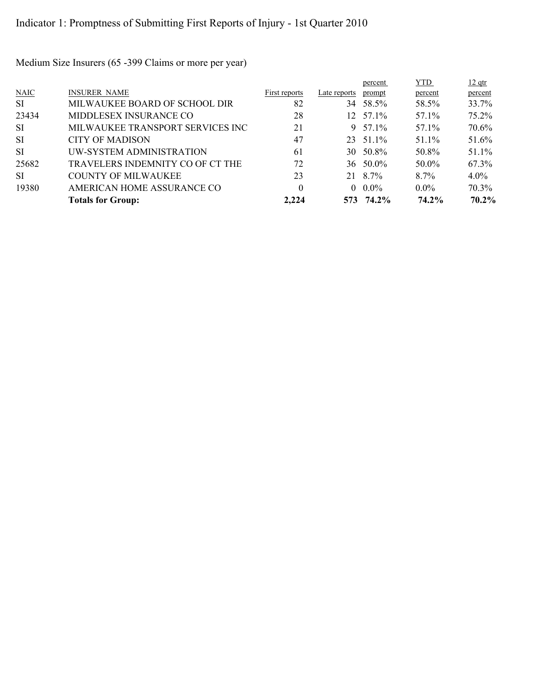Medium Size Insurers (65 -399 Claims or more per year)

|           |                                  |               |              | percent           | YTD.    | $12$ qtr |
|-----------|----------------------------------|---------------|--------------|-------------------|---------|----------|
| NAIC      | <b>INSURER NAME</b>              | First reports | Late reports | prompt            | percent | percent  |
| <b>SI</b> | MILWAUKEE BOARD OF SCHOOL DIR    | 82            | 34           | 58.5%             | 58.5%   | 33.7%    |
| 23434     | MIDDLESEX INSURANCE CO           | 28            |              | $12 \quad 57.1\%$ | 57.1%   | $75.2\%$ |
| SI        | MILWAUKEE TRANSPORT SERVICES INC | 21            |              | 9 $57.1\%$        | 57.1%   | 70.6%    |
| <b>SI</b> | <b>CITY OF MADISON</b>           | 47            |              | 23 51.1%          | 51.1%   | 51.6%    |
| <b>SI</b> | UW-SYSTEM ADMINISTRATION         | 61            |              | 30 50.8%          | 50.8%   | $51.1\%$ |
| 25682     | TRAVELERS INDEMNITY CO OF CT THE | 72            |              | $36 \quad 50.0\%$ | 50.0%   | 67.3%    |
| SI.       | <b>COUNTY OF MILWAUKEE</b>       | 23            | 21           | 8.7%              | $8.7\%$ | $4.0\%$  |
| 19380     | AMERICAN HOME ASSURANCE CO       | $\theta$      |              | $0.0\%$           | $0.0\%$ | 70.3%    |
|           | <b>Totals for Group:</b>         | 2.224         |              | 573 74.2%         | 74.2%   | $70.2\%$ |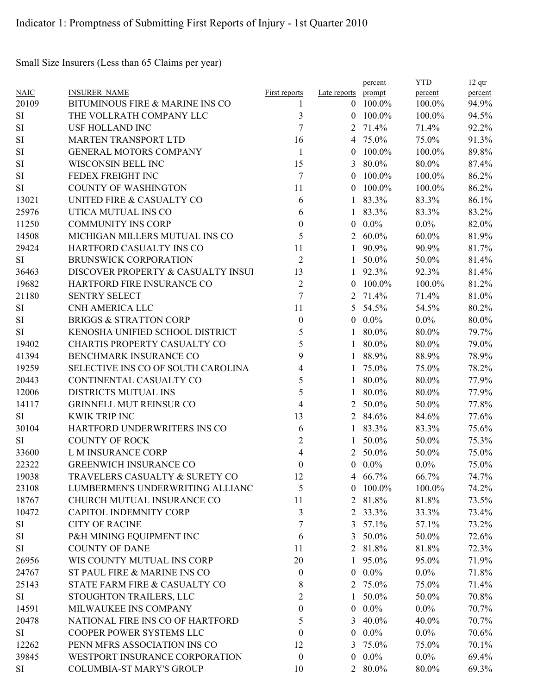Small Size Insurers (Less than 65 Claims per year)

|             |                                    |                  |                | percent    | <b>YTD</b> | $12$ qtr |
|-------------|------------------------------------|------------------|----------------|------------|------------|----------|
| <b>NAIC</b> | <b>INSURER NAME</b>                | First reports    | Late reports   | prompt     | percent    | percent  |
| 20109       | BITUMINOUS FIRE & MARINE INS CO    | 1                |                | $0$ 100.0% | 100.0%     | 94.9%    |
| SI          | THE VOLLRATH COMPANY LLC           | 3                | $\theta$       | 100.0%     | 100.0%     | 94.5%    |
| $\rm SI$    | <b>USF HOLLAND INC</b>             | 7                | 2              | 71.4%      | 71.4%      | 92.2%    |
| SI          | <b>MARTEN TRANSPORT LTD</b>        | 16               |                | 4 75.0%    | 75.0%      | 91.3%    |
| SI          | <b>GENERAL MOTORS COMPANY</b>      | $\mathbf{1}$     | $\overline{0}$ | 100.0%     | 100.0%     | 89.8%    |
| SI          | WISCONSIN BELL INC                 | 15               | 3              | 80.0%      | 80.0%      | 87.4%    |
| SI          | FEDEX FREIGHT INC                  | 7                | $\theta$       | 100.0%     | 100.0%     | 86.2%    |
| <b>SI</b>   | <b>COUNTY OF WASHINGTON</b>        | 11               | $\theta$       | 100.0%     | 100.0%     | 86.2%    |
| 13021       | UNITED FIRE & CASUALTY CO          | 6                | 1              | 83.3%      | 83.3%      | 86.1%    |
| 25976       | UTICA MUTUAL INS CO                | 6                | 1              | 83.3%      | 83.3%      | 83.2%    |
| 11250       | <b>COMMUNITY INS CORP</b>          | 0                | $\overline{0}$ | $0.0\%$    | $0.0\%$    | 82.0%    |
| 14508       | MICHIGAN MILLERS MUTUAL INS CO     | 5                |                | 2 $60.0\%$ | $60.0\%$   | 81.9%    |
| 29424       | HARTFORD CASUALTY INS CO           | 11               |                | 90.9%      | 90.9%      | 81.7%    |
| <b>SI</b>   | BRUNSWICK CORPORATION              | $\overline{2}$   | 1              | 50.0%      | 50.0%      | 81.4%    |
| 36463       | DISCOVER PROPERTY & CASUALTY INSUI | 13               | $\mathbf{1}$   | 92.3%      | 92.3%      | 81.4%    |
| 19682       | HARTFORD FIRE INSURANCE CO         | $\overline{2}$   | $\theta$       | 100.0%     | 100.0%     | 81.2%    |
| 21180       | <b>SENTRY SELECT</b>               | 7                | 2              | 71.4%      | 71.4%      | 81.0%    |
| $\rm SI$    | CNH AMERICA LLC                    | 11               | 5              | 54.5%      | 54.5%      | 80.2%    |
| SI          | <b>BRIGGS &amp; STRATTON CORP</b>  | $\boldsymbol{0}$ | $\overline{0}$ | $0.0\%$    | $0.0\%$    | 80.0%    |
| <b>SI</b>   | KENOSHA UNIFIED SCHOOL DISTRICT    | 5                | 1              | 80.0%      | 80.0%      | 79.7%    |
| 19402       | CHARTIS PROPERTY CASUALTY CO       | 5                | 1              | 80.0%      | 80.0%      | 79.0%    |
| 41394       | BENCHMARK INSURANCE CO             | 9                | $\mathbf{1}$   | 88.9%      | 88.9%      | 78.9%    |
| 19259       | SELECTIVE INS CO OF SOUTH CAROLINA | 4                | 1              | 75.0%      | 75.0%      | 78.2%    |
| 20443       | CONTINENTAL CASUALTY CO            | 5                | 1              | 80.0%      | 80.0%      | 77.9%    |
| 12006       | DISTRICTS MUTUAL INS               | 5                | $\mathbf{1}$   | 80.0%      | 80.0%      | 77.9%    |
| 14117       | <b>GRINNELL MUT REINSUR CO</b>     | 4                | 2              | 50.0%      | 50.0%      | 77.8%    |
| SI          | <b>KWIK TRIP INC</b>               | 13               |                | 2 84.6%    | 84.6%      | 77.6%    |
| 30104       | HARTFORD UNDERWRITERS INS CO       | 6                | 1              | 83.3%      | 83.3%      | 75.6%    |
| <b>SI</b>   | <b>COUNTY OF ROCK</b>              | $\overline{2}$   | $\mathbf{1}$   | 50.0%      | 50.0%      | 75.3%    |
| 33600       | L M INSURANCE CORP                 | 4                | 2              | 50.0%      | 50.0%      | 75.0%    |
| 22322       | <b>GREENWICH INSURANCE CO</b>      | 0                |                | $0.0\%$    | $0.0\%$    | 75.0%    |
| 19038       | TRAVELERS CASUALTY & SURETY CO     | 12               | 4              | 66.7%      | 66.7%      | 74.7%    |
| 23108       | LUMBERMEN'S UNDERWRITING ALLIANC   | 5                | $\theta$       | 100.0%     | 100.0%     | 74.2%    |
| 18767       | CHURCH MUTUAL INSURANCE CO         | 11               |                | 2 81.8%    | 81.8%      | 73.5%    |
| 10472       | <b>CAPITOL INDEMNITY CORP</b>      | 3                |                | 2 33.3%    | 33.3%      | 73.4%    |
| SI          | <b>CITY OF RACINE</b>              | 7                | 3              | 57.1%      | 57.1%      | 73.2%    |
| SI          | P&H MINING EQUIPMENT INC           | 6                |                | 3 50.0%    | 50.0%      | 72.6%    |
| SI          | <b>COUNTY OF DANE</b>              | 11               | $\overline{2}$ | 81.8%      | 81.8%      | 72.3%    |
| 26956       | WIS COUNTY MUTUAL INS CORP         | 20               | $\mathbf{I}$   | 95.0%      | 95.0%      | 71.9%    |
| 24767       | ST PAUL FIRE & MARINE INS CO       | $\boldsymbol{0}$ | $\overline{0}$ | $0.0\%$    | $0.0\%$    | 71.8%    |
|             | STATE FARM FIRE & CASUALTY CO      |                  |                | 2 75.0%    |            |          |
| 25143       |                                    | 8                |                |            | 75.0%      | 71.4%    |
| SI          | STOUGHTON TRAILERS, LLC            | 2                | 1              | 50.0%      | 50.0%      | 70.8%    |
| 14591       | MILWAUKEE INS COMPANY              | 0                | $\overline{0}$ | $0.0\%$    | $0.0\%$    | 70.7%    |
| 20478       | NATIONAL FIRE INS CO OF HARTFORD   | 5                | 3              | 40.0%      | 40.0%      | 70.7%    |
| SI          | COOPER POWER SYSTEMS LLC           | 0                | $\overline{0}$ | $0.0\%$    | $0.0\%$    | 70.6%    |
| 12262       | PENN MFRS ASSOCIATION INS CO       | 12               | 3              | 75.0%      | 75.0%      | 70.1%    |
| 39845       | WESTPORT INSURANCE CORPORATION     | $\boldsymbol{0}$ | $\overline{0}$ | $0.0\%$    | $0.0\%$    | 69.4%    |
| SI          | COLUMBIA-ST MARY'S GROUP           | 10               |                | 2 80.0%    | 80.0%      | 69.3%    |